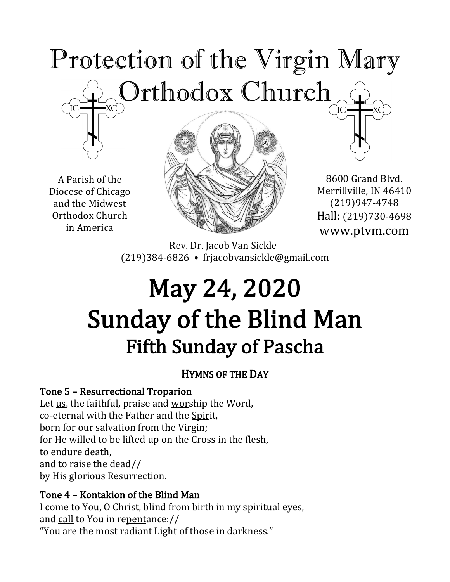## Protection of the Virgin Mary Orthodox Church  $\overline{C}$

A Parish of the Diocese of Chicago and the Midwest Orthodox Church in America



8600 Grand Blvd. Merrillville, IN 46410 (219)947-4748 Hall: (219)730-4698 www.ptvm.com

Rev. Dr. Jacob Van Sickle (219)384-6826 • frjacobvansickle@gmail.com

## May 24, 2020 Sunday of the Blind Man Fifth Sunday of Pascha

#### HYMNS OF THE DAY

#### Tone 5 – Resurrectional Troparion

Let  $us$ , the faithful, praise and worship the Word,</u> co-eternal with the Father and the Spirit, born for our salvation from the Virgin; for He willed to be lifted up on the Cross in the flesh, to endure death, and to raise the dead// by His glorious Resurrection.

#### Tone 4 – Kontakion of the Blind Man

I come to You, O Christ, blind from birth in my spiritual eyes, and call to You in repentance:// "You are the most radiant Light of those in darkness."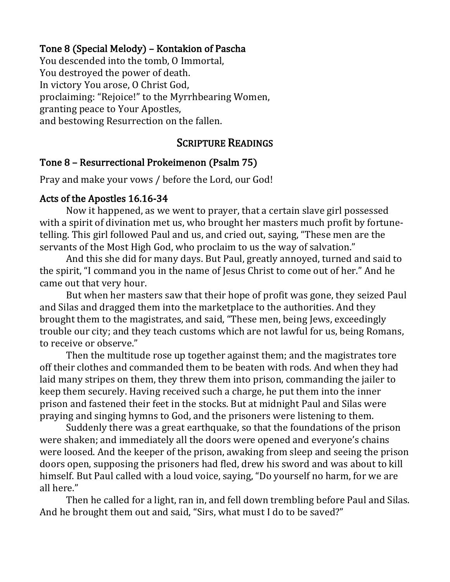#### Tone 8 (Special Melody) – Kontakion of Pascha

You descended into the tomb, O Immortal, You destroyed the power of death. In victory You arose, O Christ God, proclaiming: "Rejoice!" to the Myrrhbearing Women, granting peace to Your Apostles, and bestowing Resurrection on the fallen.

#### **SCRIPTURE READINGS**

#### Tone 8 - Resurrectional Prokeimenon (Psalm 75)

Pray and make your vows / before the Lord, our God!

#### Acts of the Apostles 16.16-34

Now it happened, as we went to prayer, that a certain slave girl possessed with a spirit of divination met us, who brought her masters much profit by fortunetelling. This girl followed Paul and us, and cried out, saying, "These men are the servants of the Most High God, who proclaim to us the way of salvation."

And this she did for many days. But Paul, greatly annoyed, turned and said to the spirit, "I command you in the name of Jesus Christ to come out of her." And he came out that very hour.

But when her masters saw that their hope of profit was gone, they seized Paul and Silas and dragged them into the marketplace to the authorities. And they brought them to the magistrates, and said, "These men, being Jews, exceedingly trouble our city; and they teach customs which are not lawful for us, being Romans, to receive or observe."

Then the multitude rose up together against them; and the magistrates tore off their clothes and commanded them to be beaten with rods. And when they had laid many stripes on them, they threw them into prison, commanding the jailer to keep them securely. Having received such a charge, he put them into the inner prison and fastened their feet in the stocks. But at midnight Paul and Silas were praying and singing hymns to God, and the prisoners were listening to them.

Suddenly there was a great earthquake, so that the foundations of the prison were shaken; and immediately all the doors were opened and everyone's chains were loosed. And the keeper of the prison, awaking from sleep and seeing the prison doors open, supposing the prisoners had fled, drew his sword and was about to kill himself. But Paul called with a loud voice, saying, "Do yourself no harm, for we are all here."

Then he called for a light, ran in, and fell down trembling before Paul and Silas. And he brought them out and said, "Sirs, what must I do to be saved?"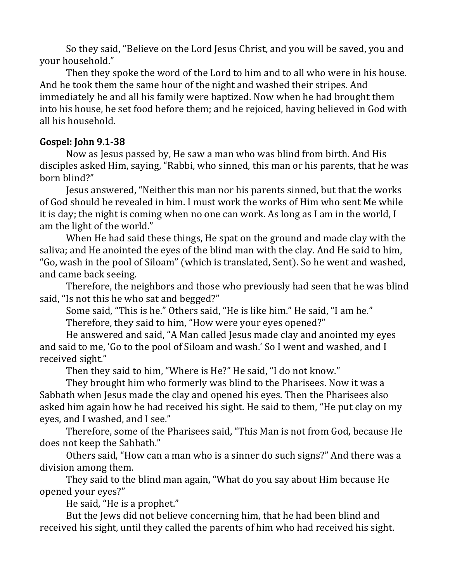So they said, "Believe on the Lord Jesus Christ, and you will be saved, you and your household."

Then they spoke the word of the Lord to him and to all who were in his house. And he took them the same hour of the night and washed their stripes. And immediately he and all his family were baptized. Now when he had brought them into his house, he set food before them; and he rejoiced, having believed in God with all his household.

#### Gospel: John 9.1-38

Now as Jesus passed by, He saw a man who was blind from birth. And His disciples asked Him, saying, "Rabbi, who sinned, this man or his parents, that he was born blind?"

Jesus answered, "Neither this man nor his parents sinned, but that the works of God should be revealed in him. I must work the works of Him who sent Me while it is day; the night is coming when no one can work. As long as I am in the world, I am the light of the world."

When He had said these things, He spat on the ground and made clay with the saliva; and He anointed the eyes of the blind man with the clay. And He said to him, "Go, wash in the pool of Siloam" (which is translated, Sent). So he went and washed, and came back seeing.

Therefore, the neighbors and those who previously had seen that he was blind said, "Is not this he who sat and begged?"

Some said, "This is he." Others said, "He is like him." He said, "I am he." Therefore, they said to him, "How were your eyes opened?"

He answered and said, "A Man called Jesus made clay and anointed my eyes and said to me, 'Go to the pool of Siloam and wash.' So I went and washed, and I received sight."

Then they said to him, "Where is He?" He said, "I do not know."

They brought him who formerly was blind to the Pharisees. Now it was a Sabbath when Jesus made the clay and opened his eyes. Then the Pharisees also asked him again how he had received his sight. He said to them, "He put clay on my eyes, and I washed, and I see."

Therefore, some of the Pharisees said, "This Man is not from God, because He does not keep the Sabbath."

Others said, "How can a man who is a sinner do such signs?" And there was a division among them.

They said to the blind man again, "What do you say about Him because He opened your eyes?"

He said, "He is a prophet."

But the Jews did not believe concerning him, that he had been blind and received his sight, until they called the parents of him who had received his sight.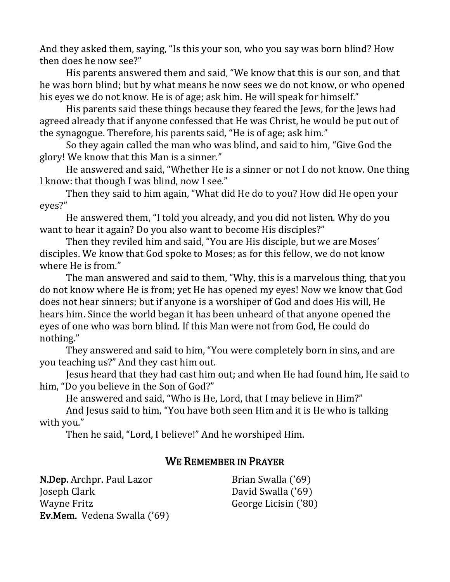And they asked them, saying, "Is this your son, who you say was born blind? How then does he now see?"

His parents answered them and said, "We know that this is our son, and that he was born blind; but by what means he now sees we do not know, or who opened his eyes we do not know. He is of age; ask him. He will speak for himself."

His parents said these things because they feared the Jews, for the Jews had agreed already that if anyone confessed that He was Christ, he would be put out of the synagogue. Therefore, his parents said, "He is of age; ask him."

So they again called the man who was blind, and said to him, "Give God the glory! We know that this Man is a sinner."

He answered and said, "Whether He is a sinner or not I do not know. One thing I know: that though I was blind, now I see."

Then they said to him again, "What did He do to you? How did He open your eyes?" 

He answered them, "I told you already, and you did not listen. Why do you want to hear it again? Do you also want to become His disciples?"

Then they reviled him and said, "You are His disciple, but we are Moses' disciples. We know that God spoke to Moses; as for this fellow, we do not know where He is from."

The man answered and said to them, "Why, this is a marvelous thing, that you do not know where He is from; yet He has opened my eyes! Now we know that God does not hear sinners; but if anyone is a worshiper of God and does His will, He hears him. Since the world began it has been unheard of that anyone opened the eyes of one who was born blind. If this Man were not from God, He could do nothing." 

They answered and said to him, "You were completely born in sins, and are you teaching us?" And they cast him out.

Jesus heard that they had cast him out; and when He had found him, He said to him, "Do you believe in the Son of God?"

He answered and said, "Who is He, Lord, that I may believe in Him?"

And Jesus said to him, "You have both seen Him and it is He who is talking with you."

Then he said, "Lord, I believe!" And he worshiped Him.

#### WE REMEMBER IN PRAYER

N.Dep. Archpr. Paul Lazor Joseph Clark Wayne Fritz Ev.Mem. Vedena Swalla ('69)

Brian Swalla ('69) David Swalla ('69) George Licisin ('80)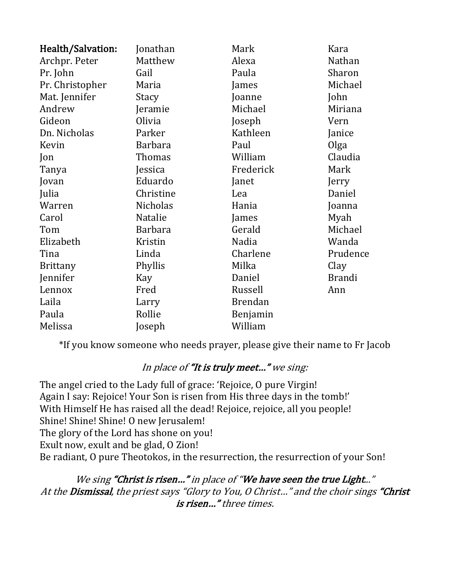| Health/Salvation: | Jonathan       | Mark           | Kara          |
|-------------------|----------------|----------------|---------------|
| Archpr. Peter     | Matthew        | Alexa          | Nathan        |
| Pr. John          | Gail           | Paula          | Sharon        |
| Pr. Christopher   | Maria          | James          | Michael       |
| Mat. Jennifer     | Stacy          | Joanne         | John          |
| Andrew            | Jeramie        | Michael        | Miriana       |
| Gideon            | Olivia         | Joseph         | Vern          |
| Dn. Nicholas      | Parker         | Kathleen       | Janice        |
| Kevin             | <b>Barbara</b> | Paul           | Olga          |
| Jon               | Thomas         | William        | Claudia       |
| Tanya             | Jessica        | Frederick      | Mark          |
| Jovan             | Eduardo        | Janet          | Jerry         |
| Julia             | Christine      | Lea            | Daniel        |
| Warren            | Nicholas       | Hania          | Joanna        |
| Carol             | Natalie        | James          | Myah          |
| Tom               | <b>Barbara</b> | Gerald         | Michael       |
| Elizabeth         | Kristin        | Nadia          | Wanda         |
| Tina              | Linda          | Charlene       | Prudence      |
| <b>Brittany</b>   | Phyllis        | Milka          | Clay          |
| Jennifer          | Kay            | Daniel         | <b>Brandi</b> |
| Lennox            | Fred           | Russell        | Ann           |
| Laila             | Larry          | <b>Brendan</b> |               |
| Paula             | Rollie         | Benjamin       |               |
| Melissa           | oseph          | William        |               |

\*If you know someone who needs prayer, please give their name to Fr Jacob

#### In place of "It is truly meet..." we sing:

The angel cried to the Lady full of grace: 'Rejoice, O pure Virgin! Again I say: Rejoice! Your Son is risen from His three days in the tomb!' With Himself He has raised all the dead! Rejoice, rejoice, all you people! Shine! Shine! Shine! O new Jerusalem! The glory of the Lord has shone on you! Exult now, exult and be glad, O Zion! Be radiant, O pure Theotokos, in the resurrection, the resurrection of your Son!

We sing "Christ is risen..." in place of "We have seen the true Light..." At the Dismissal, the priest says "Glory to You, O Christ..." and the choir sings "Christ is risen..." three times.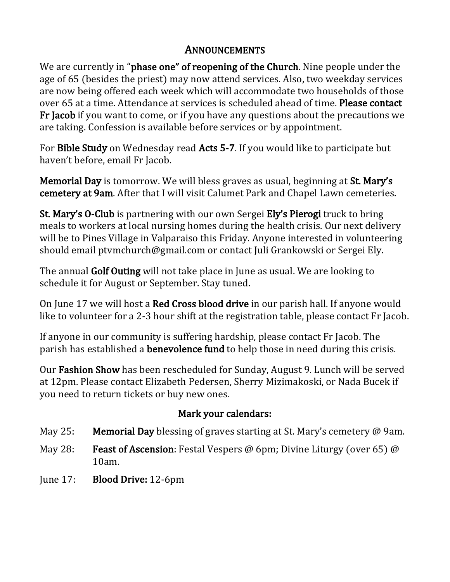#### **ANNOUNCEMENTS**

We are currently in "phase one" of reopening of the Church. Nine people under the age of 65 (besides the priest) may now attend services. Also, two weekday services are now being offered each week which will accommodate two households of those over 65 at a time. Attendance at services is scheduled ahead of time. Please contact **Fr Jacob** if you want to come, or if you have any questions about the precautions we are taking. Confession is available before services or by appointment.

For Bible Study on Wednesday read Acts 5-7. If you would like to participate but haven't before, email Fr Jacob.

**Memorial Day** is tomorrow. We will bless graves as usual, beginning at St. Mary's cemetery at 9am. After that I will visit Calumet Park and Chapel Lawn cemeteries.

St. Mary's O-Club is partnering with our own Sergei Ely's Pierogi truck to bring meals to workers at local nursing homes during the health crisis. Our next delivery will be to Pines Village in Valparaiso this Friday. Anyone interested in volunteering should email ptymchurch@gmail.com or contact Juli Grankowski or Sergei Ely.

The annual Golf Outing will not take place in June as usual. We are looking to schedule it for August or September. Stay tuned.

On June 17 we will host a **Red Cross blood drive** in our parish hall. If anyone would like to volunteer for a 2-3 hour shift at the registration table, please contact Fr Jacob.

If anyone in our community is suffering hardship, please contact Fr Jacob. The parish has established a **benevolence fund** to help those in need during this crisis.

Our Fashion Show has been rescheduled for Sunday, August 9. Lunch will be served at 12pm. Please contact Elizabeth Pedersen, Sherry Mizimakoski, or Nada Bucek if you need to return tickets or buy new ones.

#### Mark your calendars:

- May 25: Memorial Day blessing of graves starting at St. Mary's cemetery  $\omega$  9am.
- May 28: **Feast of Ascension**: Festal Vespers @ 6pm; Divine Liturgy (over 65) @ 10am.
- June 17: Blood Drive: 12-6pm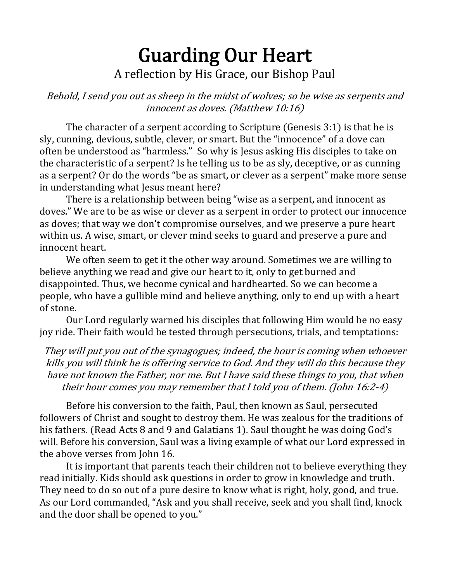### Guarding Our Heart A reflection by His Grace, our Bishop Paul

Behold, I send you out as sheep in the midst of wolves; so be wise as serpents and innocent as doves. (Matthew 10:16)

The character of a serpent according to Scripture (Genesis  $3:1$ ) is that he is sly, cunning, devious, subtle, clever, or smart. But the "innocence" of a dove can often be understood as "harmless." So why is Jesus asking His disciples to take on the characteristic of a serpent? Is he telling us to be as sly, deceptive, or as cunning as a serpent? Or do the words "be as smart, or clever as a serpent" make more sense in understanding what Jesus meant here?

There is a relationship between being "wise as a serpent, and innocent as doves." We are to be as wise or clever as a serpent in order to protect our innocence as doves; that way we don't compromise ourselves, and we preserve a pure heart within us. A wise, smart, or clever mind seeks to guard and preserve a pure and innocent heart.

We often seem to get it the other way around. Sometimes we are willing to believe anything we read and give our heart to it, only to get burned and disappointed. Thus, we become cynical and hardhearted. So we can become a people, who have a gullible mind and believe anything, only to end up with a heart of stone.

Our Lord regularly warned his disciples that following Him would be no easy joy ride. Their faith would be tested through persecutions, trials, and temptations:

They will put you out of the synagogues; indeed, the hour is coming when whoever kills you will think he is offering service to God. And they will do this because they have not known the Father, nor me. But I have said these things to you, that when their hour comes you may remember that I told you of them. (John  $16:2-4$ )

Before his conversion to the faith, Paul, then known as Saul, persecuted followers of Christ and sought to destroy them. He was zealous for the traditions of his fathers. (Read Acts 8 and 9 and Galatians 1). Saul thought he was doing God's will. Before his conversion, Saul was a living example of what our Lord expressed in the above verses from John 16.

It is important that parents teach their children not to believe everything they read initially. Kids should ask questions in order to grow in knowledge and truth. They need to do so out of a pure desire to know what is right, holy, good, and true. As our Lord commanded, "Ask and you shall receive, seek and you shall find, knock and the door shall be opened to you."